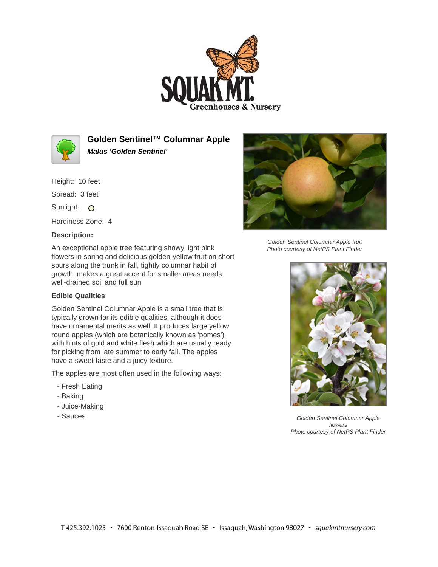



**Golden Sentinel™ Columnar Apple Malus 'Golden Sentinel'**

Height: 10 feet Spread: 3 feet

Sunlight: O

Hardiness Zone: 4

# **Description:**

An exceptional apple tree featuring showy light pink flowers in spring and delicious golden-yellow fruit on short spurs along the trunk in fall, tightly columnar habit of growth; makes a great accent for smaller areas needs well-drained soil and full sun

# **Edible Qualities**

Golden Sentinel Columnar Apple is a small tree that is typically grown for its edible qualities, although it does have ornamental merits as well. It produces large yellow round apples (which are botanically known as 'pomes') with hints of gold and white flesh which are usually ready for picking from late summer to early fall. The apples have a sweet taste and a juicy texture.

The apples are most often used in the following ways:

- Fresh Eating
- Baking
- Juice-Making
- Sauces



Golden Sentinel Columnar Apple fruit Photo courtesy of NetPS Plant Finder



Golden Sentinel Columnar Apple flowers Photo courtesy of NetPS Plant Finder